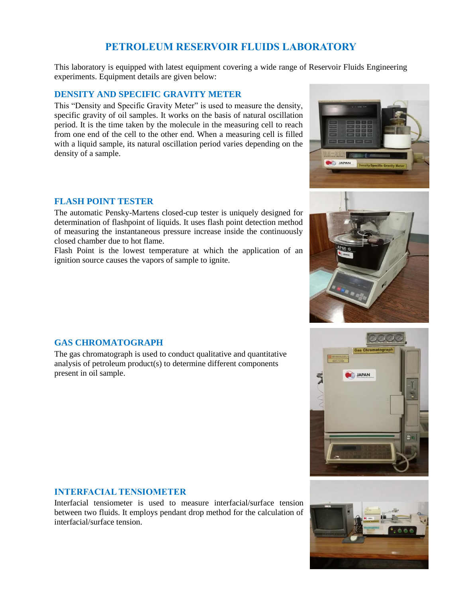# **PETROLEUM RESERVOIR FLUIDS LABORATORY**

This laboratory is equipped with latest equipment covering a wide range of Reservoir Fluids Engineering experiments. Equipment details are given below:

# **DENSITY AND SPECIFIC GRAVITY METER**

This "Density and Specific Gravity Meter" is used to measure the density, specific gravity of oil samples. It works on the basis of natural oscillation period. It is the time taken by the molecule in the measuring cell to reach from one end of the cell to the other end. When a measuring cell is filled with a liquid sample, its natural oscillation period varies depending on the density of a sample.

### **FLASH POINT TESTER**

The automatic Pensky-Martens closed-cup tester is uniquely designed for determination of flashpoint of liquids. It uses flash point detection method of measuring the instantaneous pressure increase inside the continuously closed chamber due to hot flame.

Flash Point is the lowest temperature at which the application of an ignition source causes the vapors of sample to ignite.







# **GAS CHROMATOGRAPH**

The gas chromatograph is used to conduct qualitative and quantitative analysis of petroleum product(s) to determine different components present in oil sample.

#### **INTERFACIAL TENSIOMETER**

Interfacial tensiometer is used to measure interfacial/surface tension between two fluids. It employs pendant drop method for the calculation of interfacial/surface tension.